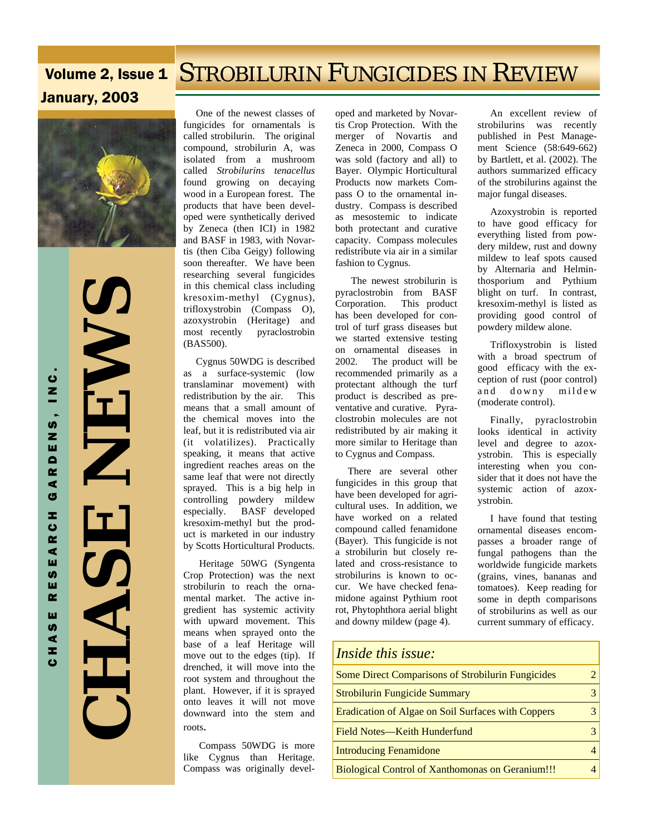# Volume 2, Issue 1 STROBILURIN FUNGICIDES IN REVIEW January, 2003



 **CHASE NEWS NEWZ** SAH

 One of the newest classes of fungicides for ornamentals is called strobilurin. The original compound, strobilurin A, was isolated from a mushroom called *Strobilurins tenacellus*  found growing on decaying wood in a European forest. The products that have been developed were synthetically derived by Zeneca (then ICI) in 1982 and BASF in 1983, with Novartis (then Ciba Geigy) following soon thereafter. We have been researching several fungicides in this chemical class including kresoxim-methyl (Cygnus), trifloxystrobin (Compass O), azoxystrobin (Heritage) and most recently pyraclostrobin (BAS500).

 Cygnus 50WDG is described as a surface-systemic (low translaminar movement) with redistribution by the air. This means that a small amount of the chemical moves into the leaf, but it is redistributed via air (it volatilizes). Practically speaking, it means that active ingredient reaches areas on the same leaf that were not directly sprayed. This is a big help in controlling powdery mildew especially. BASF developed kresoxim-methyl but the product is marketed in our industry by Scotts Horticultural Products.

 Heritage 50WG (Syngenta Crop Protection) was the next strobilurin to reach the ornamental market. The active ingredient has systemic activity with upward movement. This means when sprayed onto the base of a leaf Heritage will move out to the edges (tip). If drenched, it will move into the root system and throughout the plant. However, if it is sprayed onto leaves it will not move downward into the stem and roots.

 Compass 50WDG is more like Cygnus than Heritage. Compass was originally devel-

oped and marketed by Novartis Crop Protection. With the merger of Novartis and Zeneca in 2000, Compass O was sold (factory and all) to Bayer. Olympic Horticultural Products now markets Compass O to the ornamental industry. Compass is described as mesostemic to indicate both protectant and curative capacity. Compass molecules redistribute via air in a similar fashion to Cygnus.

 The newest strobilurin is pyraclostrobin from BASF Corporation. This product has been developed for control of turf grass diseases but we started extensive testing on ornamental diseases in 2002. The product will be recommended primarily as a protectant although the turf product is described as preventative and curative. Pyraclostrobin molecules are not redistributed by air making it more similar to Heritage than to Cygnus and Compass.

 There are several other fungicides in this group that have been developed for agricultural uses. In addition, we have worked on a related compound called fenamidone (Bayer). This fungicide is not a strobilurin but closely related and cross-resistance to strobilurins is known to occur. We have checked fenamidone against Pythium root rot, Phytophthora aerial blight and downy mildew (page 4).

 An excellent review of strobilurins was recently published in Pest Management Science (58:649-662) by Bartlett, et al. (2002). The authors summarized efficacy of the strobilurins against the major fungal diseases.

 Azoxystrobin is reported to have good efficacy for everything listed from powdery mildew, rust and downy mildew to leaf spots caused by Alternaria and Helminthosporium and Pythium blight on turf. In contrast, kresoxim-methyl is listed as providing good control of powdery mildew alone.

 Trifloxystrobin is listed with a broad spectrum of good efficacy with the exception of rust (poor control) and downy mildew (moderate control).

 Finally, pyraclostrobin looks identical in activity level and degree to azoxystrobin. This is especially interesting when you consider that it does not have the systemic action of azoxystrobin.

 I have found that testing ornamental diseases encompasses a broader range of fungal pathogens than the worldwide fungicide markets (grains, vines, bananas and tomatoes). Keep reading for some in depth comparisons of strobilurins as well as our current summary of efficacy.

| <i>Inside this issue:</i>                                |   |
|----------------------------------------------------------|---|
| <b>Some Direct Comparisons of Strobilurin Fungicides</b> |   |
| <b>Strobilurin Fungicide Summary</b>                     | 3 |
| Eradication of Algae on Soil Surfaces with Coppers       |   |
| Field Notes—Keith Hunderfund                             | 3 |
| <b>Introducing Fenamidone</b>                            |   |
| <b>Biological Control of Xanthomonas on Geranium!!!</b>  |   |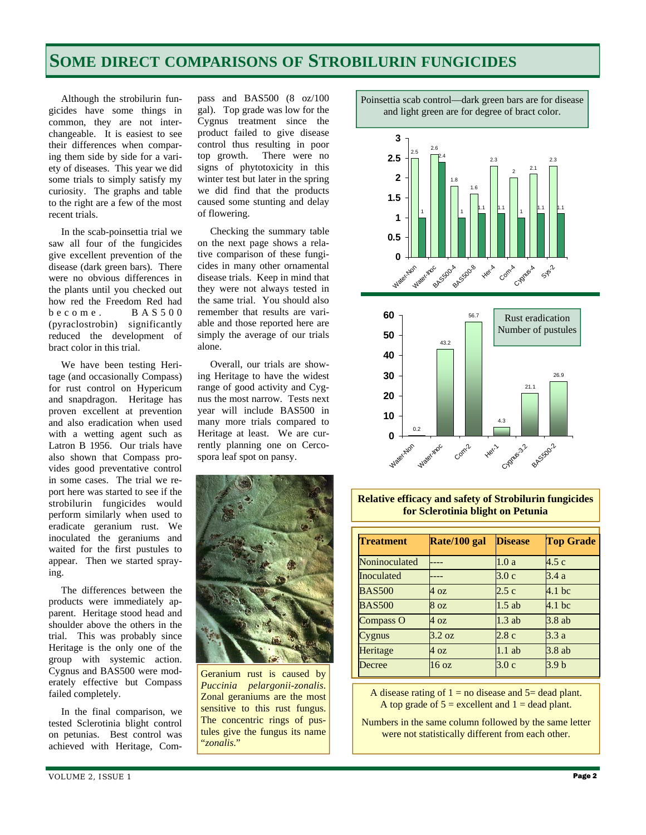## **SOME DIRECT COMPARISONS OF STROBILURIN FUNGICIDES**

 Although the strobilurin fungicides have some things in common, they are not interchangeable. It is easiest to see their differences when comparing them side by side for a variety of diseases. This year we did some trials to simply satisfy my curiosity. The graphs and table to the right are a few of the most recent trials.

 In the scab-poinsettia trial we saw all four of the fungicides give excellent prevention of the disease (dark green bars). There were no obvious differences in the plants until you checked out how red the Freedom Red had  $b$  e c o m e . B A S 5 0 0 (pyraclostrobin) significantly reduced the development of bract color in this trial.

 We have been testing Heritage (and occasionally Compass) for rust control on Hypericum and snapdragon. Heritage has proven excellent at prevention and also eradication when used with a wetting agent such as Latron B 1956. Our trials have also shown that Compass provides good preventative control in some cases. The trial we report here was started to see if the strobilurin fungicides would perform similarly when used to eradicate geranium rust. We inoculated the geraniums and waited for the first pustules to appear. Then we started spraying.

 The differences between the products were immediately apparent. Heritage stood head and shoulder above the others in the trial. This was probably since Heritage is the only one of the group with systemic action. Cygnus and BAS500 were moderately effective but Compass failed completely.

 In the final comparison, we tested Sclerotinia blight control on petunias. Best control was achieved with Heritage, Compass and BAS500 (8 oz/100 gal). Top grade was low for the Cygnus treatment since the product failed to give disease control thus resulting in poor top growth. There were no signs of phytotoxicity in this winter test but later in the spring we did find that the products caused some stunting and delay of flowering.

 Checking the summary table on the next page shows a relative comparison of these fungicides in many other ornamental disease trials. Keep in mind that they were not always tested in the same trial. You should also remember that results are variable and those reported here are simply the average of our trials alone.

 Overall, our trials are showing Heritage to have the widest range of good activity and Cygnus the most narrow. Tests next year will include BAS500 in many more trials compared to Heritage at least. We are currently planning one on Cercospora leaf spot on pansy.



Geranium rust is caused by *Puccinia pelargonii-zonalis*. Zonal geraniums are the most sensitive to this rust fungus. The concentric rings of pustules give the fungus its name "*zonalis*."

Poinsettia scab control—dark green bars are for disease and light green are for degree of bract color.





**Relative efficacy and safety of Strobilurin fungicides for Sclerotinia blight on Petunia** 

| <b>Treatment</b> | Rate/100 gal     | <b>Disease</b> | <b>Top Grade</b>  |
|------------------|------------------|----------------|-------------------|
| Noninoculated    |                  | 1.0a           | 4.5c              |
| Inoculated       |                  | 3.0c           | 3.4 a             |
| <b>BAS500</b>    | 4 oz             | 2.5c           | $4.1$ bc          |
| <b>BAS500</b>    | 8 <sub>oz</sub>  | $1.5$ ab       | 4.1 <sub>bc</sub> |
| Compass O        | 4 oz             | $1.3$ ab       | 3.8ab             |
| Cygnus           | $3.2 \text{ oz}$ | 2.8c           | 3.3a              |
| Heritage         | 4 oz             | $1.1$ ab       | 3.8 ab            |
| Decree           | 16 <sub>oz</sub> | 3.0c           | 3.9 <sub>b</sub>  |

A disease rating of  $1 =$  no disease and  $5 =$  dead plant. A top grade of  $5 =$  excellent and  $1 =$  dead plant.

Numbers in the same column followed by the same letter were not statistically different from each other.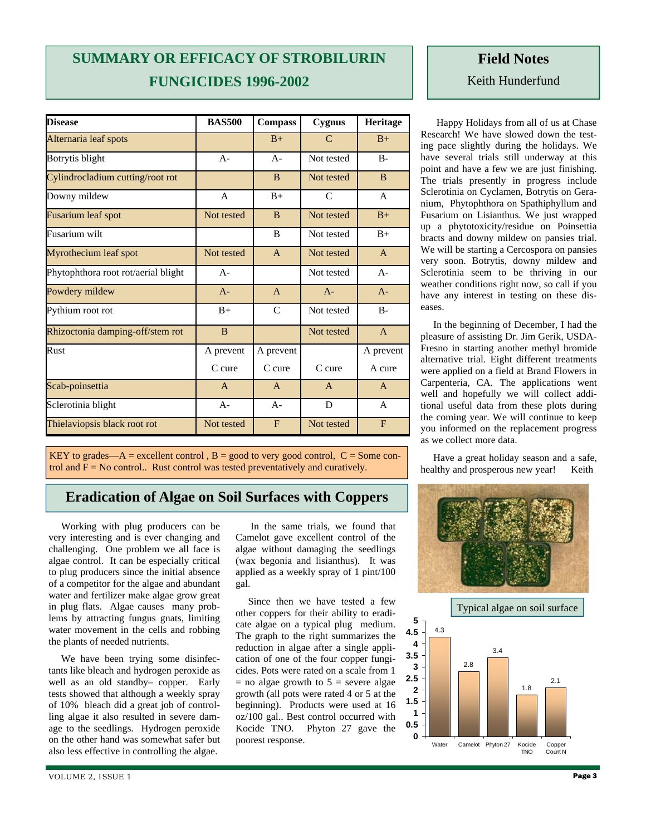# **SUMMARY OR EFFICACY OF STROBILURIN FUNGICIDES 1996-2002**

| <b>Disease</b>                      | <b>BAS500</b> | <b>Compass</b> | Cygnus        | Heritage       |
|-------------------------------------|---------------|----------------|---------------|----------------|
| Alternaria leaf spots               |               | $B+$           | $\mathcal{C}$ | $B+$           |
| Botrytis blight                     | $A -$         | $A -$          | Not tested    | $B -$          |
| Cylindrocladium cutting/root rot    |               | B              | Not tested    | <sub>B</sub>   |
| Downy mildew                        | $\mathsf{A}$  | $B+$           | C             | A              |
| Fusarium leaf spot                  | Not tested    | B              | Not tested    | $B+$           |
| Fusarium wilt                       |               | B              | Not tested    | $B+$           |
| Myrothecium leaf spot               | Not tested    | $\overline{A}$ | Not tested    | $\overline{A}$ |
| Phytophthora root rot/aerial blight | $A -$         |                | Not tested    | $A -$          |
| Powdery mildew                      | $A -$         | $\mathsf{A}$   | $A -$         | $A -$          |
| Pythium root rot                    | $B+$          | $\mathcal{C}$  | Not tested    | $B -$          |
| Rhizoctonia damping-off/stem rot    | B             |                | Not tested    | $\overline{A}$ |
| Rust                                | A prevent     | A prevent      |               | A prevent      |
|                                     | $C$ cure      | $C$ cure       | C cure        | A cure         |
| Scab-poinsettia                     | $\mathsf{A}$  | $\mathsf{A}$   | $\mathsf{A}$  | $\mathsf{A}$   |
| Sclerotinia blight                  | $A-$          | $A-$           | D             | A              |
| Thielaviopsis black root rot        | Not tested    | F              | Not tested    | F              |

KEY to grades—A = excellent control,  $B =$  good to very good control,  $C =$  Some control and  $F = No$  control.. Rust control was tested preventatively and curatively.

#### **Eradication of Algae on Soil Surfaces with Coppers**

 Working with plug producers can be very interesting and is ever changing and challenging. One problem we all face is algae control. It can be especially critical to plug producers since the initial absence of a competitor for the algae and abundant water and fertilizer make algae grow great in plug flats. Algae causes many problems by attracting fungus gnats, limiting water movement in the cells and robbing the plants of needed nutrients.

 We have been trying some disinfectants like bleach and hydrogen peroxide as well as an old standby– copper. Early tests showed that although a weekly spray of 10% bleach did a great job of controlling algae it also resulted in severe damage to the seedlings. Hydrogen peroxide on the other hand was somewhat safer but also less effective in controlling the algae.

 In the same trials, we found that Camelot gave excellent control of the algae without damaging the seedlings (wax begonia and lisianthus). It was applied as a weekly spray of 1 pint/100 gal.

 Since then we have tested a few other coppers for their ability to eradicate algae on a typical plug medium. The graph to the right summarizes the reduction in algae after a single application of one of the four copper fungicides. Pots were rated on a scale from 1  $=$  no algae growth to  $5 =$  severe algae growth (all pots were rated 4 or 5 at the beginning). Products were used at 16 oz/100 gal.. Best control occurred with Kocide TNO. Phyton 27 gave the poorest response.

### **Field Notes**  Keith Hunderfund

 Happy Holidays from all of us at Chase Research! We have slowed down the testing pace slightly during the holidays. We have several trials still underway at this point and have a few we are just finishing. The trials presently in progress include Sclerotinia on Cyclamen, Botrytis on Geranium, Phytophthora on Spathiphyllum and Fusarium on Lisianthus. We just wrapped up a phytotoxicity/residue on Poinsettia bracts and downy mildew on pansies trial. We will be starting a Cercospora on pansies very soon. Botrytis, downy mildew and Sclerotinia seem to be thriving in our weather conditions right now, so call if you have any interest in testing on these diseases.

 In the beginning of December, I had the pleasure of assisting Dr. Jim Gerik, USDA-Fresno in starting another methyl bromide alternative trial. Eight different treatments were applied on a field at Brand Flowers in Carpenteria, CA. The applications went well and hopefully we will collect additional useful data from these plots during the coming year. We will continue to keep you informed on the replacement progress as we collect more data.

 Have a great holiday season and a safe, healthy and prosperous new year! Keith



Typical algae on soil surface